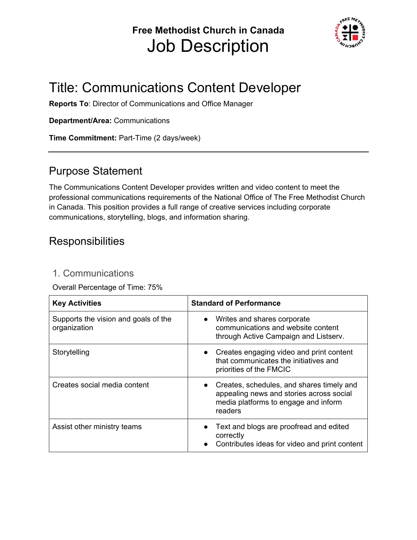## **Free Methodist Church in Canada**  Job Description



# Title: Communications Content Developer

**Reports To**: Director of Communications and Office Manager

**Department/Area:** Communications

**Time Commitment:** Part-Time (2 days/week)

### Purpose Statement

The Communications Content Developer provides written and video content to meet the professional communications requirements of the National Office of The Free Methodist Church in Canada. This position provides a full range of creative services including corporate communications, storytelling, blogs, and information sharing.

### **Responsibilities**

#### 1. Communications

Overall Percentage of Time: 75%

| <b>Key Activities</b>                                | <b>Standard of Performance</b>                                                                                                             |  |
|------------------------------------------------------|--------------------------------------------------------------------------------------------------------------------------------------------|--|
| Supports the vision and goals of the<br>organization | • Writes and shares corporate<br>communications and website content<br>through Active Campaign and Listserv.                               |  |
| Storytelling                                         | • Creates engaging video and print content<br>that communicates the initiatives and<br>priorities of the FMCIC                             |  |
| Creates social media content                         | • Creates, schedules, and shares timely and<br>appealing news and stories across social<br>media platforms to engage and inform<br>readers |  |
| Assist other ministry teams                          | Text and blogs are proofread and edited<br>correctly<br>Contributes ideas for video and print content                                      |  |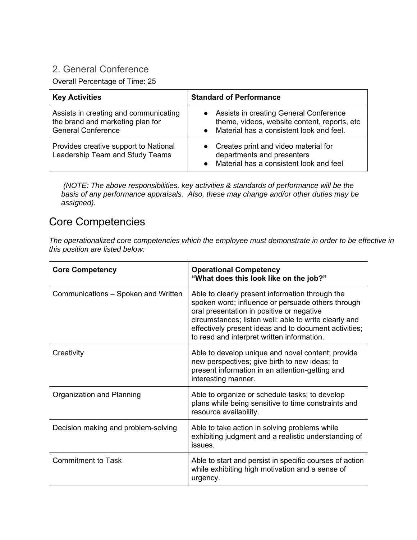#### 2. General Conference

Overall Percentage of Time: 25

| <b>Key Activities</b>                                                                                  | <b>Standard of Performance</b>                                                                                                         |  |
|--------------------------------------------------------------------------------------------------------|----------------------------------------------------------------------------------------------------------------------------------------|--|
| Assists in creating and communicating<br>the brand and marketing plan for<br><b>General Conference</b> | • Assists in creating General Conference<br>theme, videos, website content, reports, etc<br>• Material has a consistent look and feel. |  |
| Provides creative support to National<br>Leadership Team and Study Teams                               | • Creates print and video material for<br>departments and presenters<br>• Material has a consistent look and feel                      |  |

 *(NOTE: The above responsibilities, key activities & standards of performance will be the basis of any performance appraisals. Also, these may change and/or other duties may be assigned).*

## Core Competencies

*The operationalized core competencies which the employee must demonstrate in order to be effective in this position are listed below:*

| <b>Core Competency</b>              | <b>Operational Competency</b><br>"What does this look like on the job?"                                                                                                                                                                                                                                           |
|-------------------------------------|-------------------------------------------------------------------------------------------------------------------------------------------------------------------------------------------------------------------------------------------------------------------------------------------------------------------|
| Communications - Spoken and Written | Able to clearly present information through the<br>spoken word; influence or persuade others through<br>oral presentation in positive or negative<br>circumstances; listen well: able to write clearly and<br>effectively present ideas and to document activities;<br>to read and interpret written information. |
| Creativity                          | Able to develop unique and novel content; provide<br>new perspectives; give birth to new ideas; to<br>present information in an attention-getting and<br>interesting manner.                                                                                                                                      |
| Organization and Planning           | Able to organize or schedule tasks; to develop<br>plans while being sensitive to time constraints and<br>resource availability.                                                                                                                                                                                   |
| Decision making and problem-solving | Able to take action in solving problems while<br>exhibiting judgment and a realistic understanding of<br>issues.                                                                                                                                                                                                  |
| <b>Commitment to Task</b>           | Able to start and persist in specific courses of action<br>while exhibiting high motivation and a sense of<br>urgency.                                                                                                                                                                                            |